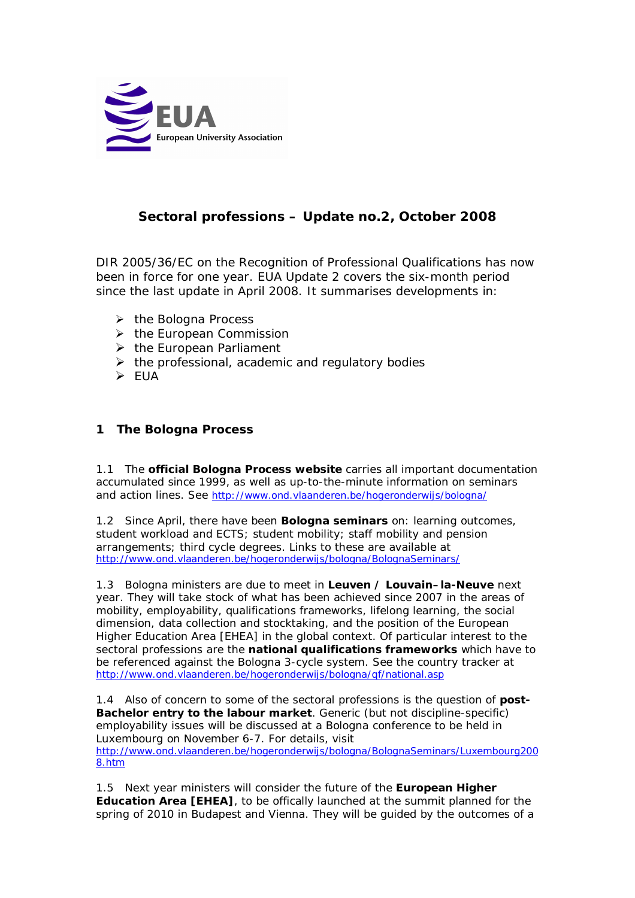

# **Sectoral professions – Update no.2, October 2008**

DIR 2005/36/EC on the Recognition of Professional Qualifications has now been in force for one year. EUA Update 2 covers the six-month period since the last update in April 2008. It summarises developments in:

- $\triangleright$  the Bologna Process
- $\triangleright$  the European Commission
- $\triangleright$  the European Parliament
- $\triangleright$  the professional, academic and regulatory bodies
- EUA

## **1 The Bologna Process**

1.1 The **official Bologna Process website** carries all important documentation accumulated since 1999, as well as up-to-the-minute information on seminars and action lines. See http://www.ond.vlaanderen.be/hogeronderwijs/bologna/

1.2 Since April, there have been **Bologna seminars** on: learning outcomes, student workload and ECTS; student mobility; staff mobility and pension arrangements; third cycle degrees. Links to these are available at http://www.ond.vlaanderen.be/hogeronderwijs/bologna/BolognaSeminars/

1.3 Bologna ministers are due to meet in **Leuven / Louvain–la-Neuve** next year. They will take stock of what has been achieved since 2007 in the areas of mobility, employability, qualifications frameworks, lifelong learning, the social dimension, data collection and stocktaking, and the position of the European Higher Education Area [EHEA] in the global context. Of particular interest to the sectoral professions are the **national qualifications frameworks** which have to be referenced against the Bologna 3-cycle system. See the country tracker at http://www.ond.vlaanderen.be/hogeronderwijs/bologna/qf/national.asp

1.4 Also of concern to some of the sectoral professions is the question of **post-Bachelor entry to the labour market**. Generic (but not discipline-specific) employability issues will be discussed at a Bologna conference to be held in Luxembourg on November 6-7. For details, visit http://www.ond.vlaanderen.be/hogeronderwijs/bologna/BolognaSeminars/Luxembourg200 8.htm

1.5 Next year ministers will consider the future of the **European Higher Education Area [EHEA]**, to be offically launched at the summit planned for the spring of 2010 in Budapest and Vienna. They will be guided by the outcomes of a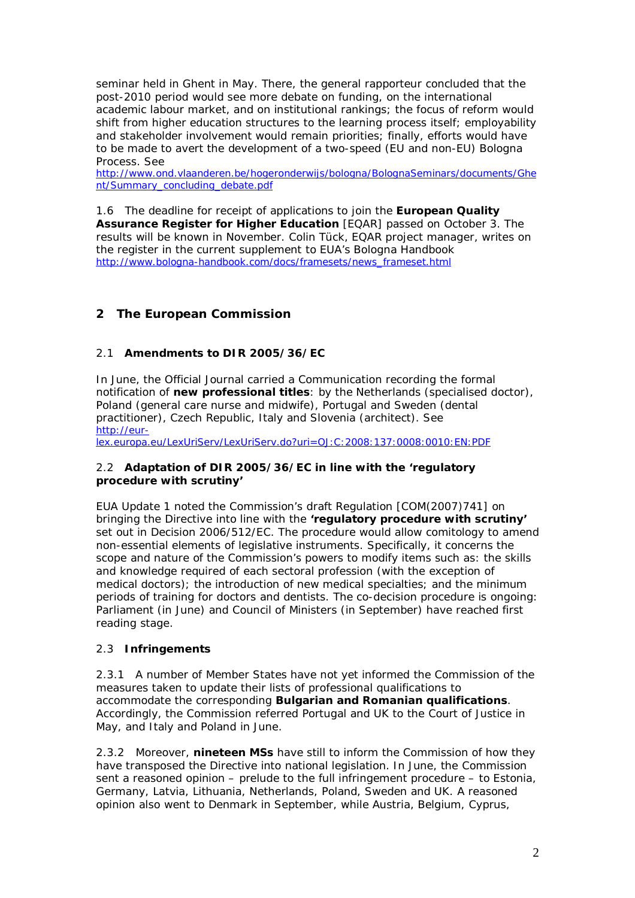seminar held in Ghent in May. There, the general rapporteur concluded that the post-2010 period would see more debate on funding, on the international academic labour market, and on institutional rankings; the focus of reform would shift from higher education structures to the learning process itself; employability and stakeholder involvement would remain priorities; finally, efforts would have to be made to avert the development of a two-speed (EU and non-EU) Bologna Process. See

http://www.ond.vlaanderen.be/hogeronderwijs/bologna/BolognaSeminars/documents/Ghe nt/Summary\_concluding\_debate.pdf

1.6 The deadline for receipt of applications to join the **European Quality Assurance Register for Higher Education** [EQAR] passed on October 3. The results will be known in November. Colin Tück, EQAR project manager, writes on the register in the current supplement to EUA's *Bologna Handbook* http://www.bologna-handbook.com/docs/framesets/news\_frameset.html

## **2 The European Commission**

### 2.1 **Amendments to DIR 2005/36/EC**

In June, the Official Journal carried a Communication recording the formal notification of **new professional titles**: by the Netherlands (specialised doctor), Poland (general care nurse and midwife), Portugal and Sweden (dental practitioner), Czech Republic, Italy and Slovenia (architect). See http://eur-

lex.europa.eu/LexUriServ/LexUriServ.do?uri=OJ:C:2008:137:0008:0010:EN:PDF

#### 2.2 **Adaptation of DIR 2005/36/EC in line with the 'regulatory procedure with scrutiny'**

EUA Update 1 noted the Commission's draft Regulation [COM(2007)741] on bringing the Directive into line with the **'regulatory procedure with scrutiny'** set out in Decision 2006/512/EC. The procedure would allow comitology to amend non-essential elements of legislative instruments. Specifically, it concerns the scope and nature of the Commission's powers to modify items such as: the skills and knowledge required of each sectoral profession (with the exception of medical doctors); the introduction of new medical specialties; and the minimum periods of training for doctors and dentists. The co-decision procedure is ongoing: Parliament (in June) and Council of Ministers (in September) have reached first reading stage.

### 2.3 **Infringements**

2.3.1 A number of Member States have not yet informed the Commission of the measures taken to update their lists of professional qualifications to accommodate the corresponding **Bulgarian and Romanian qualifications**. Accordingly, the Commission referred Portugal and UK to the Court of Justice in May, and Italy and Poland in June.

2.3.2 Moreover, **nineteen MSs** have still to inform the Commission of how they have transposed the Directive into national legislation. In June, the Commission sent a reasoned opinion – prelude to the full infringement procedure – to Estonia, Germany, Latvia, Lithuania, Netherlands, Poland, Sweden and UK. A reasoned opinion also went to Denmark in September, while Austria, Belgium, Cyprus,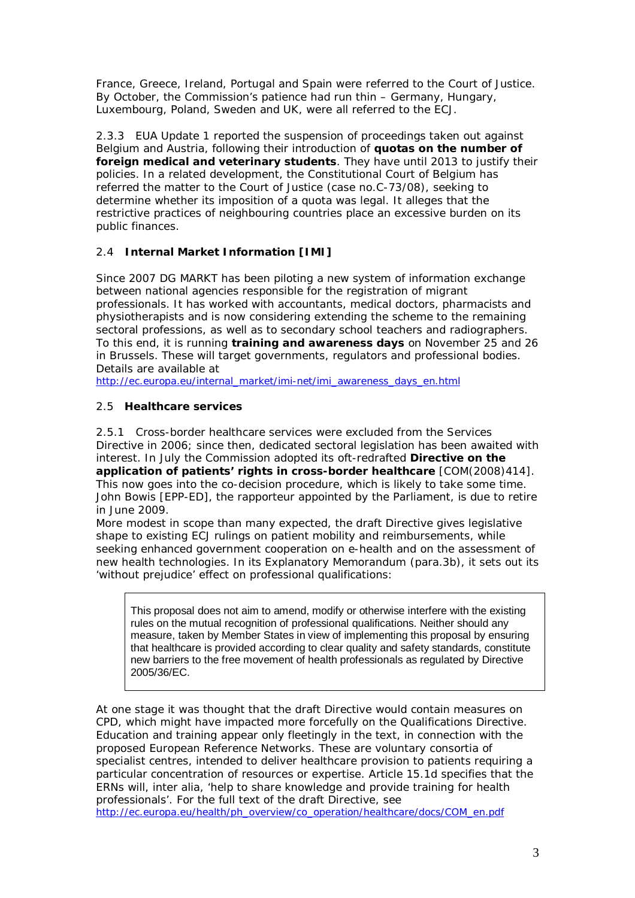France, Greece, Ireland, Portugal and Spain were referred to the Court of Justice. By October, the Commission's patience had run thin – Germany, Hungary, Luxembourg, Poland, Sweden and UK, were all referred to the ECJ.

2.3.3 EUA Update 1 reported the suspension of proceedings taken out against Belgium and Austria, following their introduction of **quotas on the number of foreign medical and veterinary students**. They have until 2013 to justify their policies. In a related development, the Constitutional Court of Belgium has referred the matter to the Court of Justice (case no.C-73/08), seeking to determine whether its imposition of a quota was legal. It alleges that the restrictive practices of neighbouring countries place an excessive burden on its public finances.

## 2.4 **Internal Market Information [IMI]**

Since 2007 DG MARKT has been piloting a new system of information exchange between national agencies responsible for the registration of migrant professionals. It has worked with accountants, medical doctors, pharmacists and physiotherapists and is now considering extending the scheme to the remaining sectoral professions, as well as to secondary school teachers and radiographers. To this end, it is running **training and awareness days** on November 25 and 26 in Brussels. These will target governments, regulators and professional bodies. Details are available at

http://ec.europa.eu/internal\_market/imi-net/imi\_awareness\_days\_en.html

## 2.5 **Healthcare services**

2.5.1 Cross-border healthcare services were excluded from the Services Directive in 2006; since then, dedicated sectoral legislation has been awaited with interest. In July the Commission adopted its oft-redrafted **Directive on the application of patients' rights in cross-border healthcare** [COM(2008)414]. This now goes into the co-decision procedure, which is likely to take some time. John Bowis [EPP-ED], the rapporteur appointed by the Parliament, is due to retire in June 2009.

More modest in scope than many expected, the draft Directive gives legislative shape to existing ECJ rulings on patient mobility and reimbursements, while seeking enhanced government cooperation on e-health and on the assessment of new health technologies. In its Explanatory Memorandum (para.3b), it sets out its 'without prejudice' effect on professional qualifications:

This proposal does not aim to amend, modify or otherwise interfere with the existing rules on the mutual recognition of professional qualifications. Neither should any measure, taken by Member States in view of implementing this proposal by ensuring that healthcare is provided according to clear quality and safety standards, constitute new barriers to the free movement of health professionals as regulated by Directive 2005/36/EC.

At one stage it was thought that the draft Directive would contain measures on CPD, which might have impacted more forcefully on the Qualifications Directive. Education and training appear only fleetingly in the text, in connection with the proposed European Reference Networks. These are voluntary consortia of specialist centres, intended to deliver healthcare provision to patients requiring a particular concentration of resources or expertise. Article 15.1d specifies that the ERNs will, inter alia, 'help to share knowledge and provide training for health professionals'. For the full text of the draft Directive, see http://ec.europa.eu/health/ph\_overview/co\_operation/healthcare/docs/COM\_en.pdf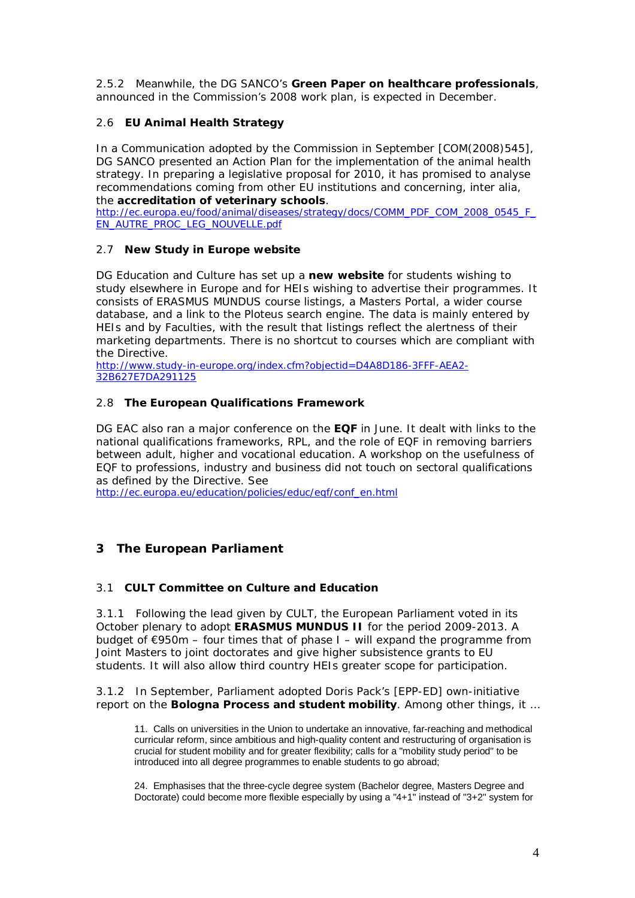2.5.2 Meanwhile, the DG SANCO's **Green Paper on healthcare professionals**, announced in the Commission's 2008 work plan, is expected in December.

## 2.6 **EU Animal Health Strategy**

In a Communication adopted by the Commission in September [COM(2008)545], DG SANCO presented an Action Plan for the implementation of the animal health strategy. In preparing a legislative proposal for 2010, it has promised to analyse recommendations coming from other EU institutions and concerning, inter alia, the **accreditation of veterinary schools**.

http://ec.europa.eu/food/animal/diseases/strategy/docs/COMM\_PDF\_COM\_2008\_0545\_F\_ EN\_AUTRE\_PROC\_LEG\_NOUVELLE.pdf

### 2.7 **New** *Study in Europe* **website**

DG Education and Culture has set up a **new website** for students wishing to study elsewhere in Europe and for HEIs wishing to advertise their programmes. It consists of ERASMUS MUNDUS course listings, a Masters Portal, a wider course database, and a link to the Ploteus search engine. The data is mainly entered by HEIs and by Faculties, with the result that listings reflect the alertness of their marketing departments. There is no shortcut to courses which are compliant with the Directive.

http://www.study-in-europe.org/index.cfm?objectid=D4A8D186-3FFF-AEA2- 32B627E7DA291125

### 2.8 **The European Qualifications Framework**

DG EAC also ran a major conference on the **EQF** in June. It dealt with links to the national qualifications frameworks, RPL, and the role of EQF in removing barriers between adult, higher and vocational education. A workshop on the usefulness of EQF to professions, industry and business did not touch on sectoral qualifications as defined by the Directive. See

http://ec.europa.eu/education/policies/educ/eqf/conf\_en.html

## **3 The European Parliament**

### 3.1 **CULT Committee on Culture and Education**

3.1.1 Following the lead given by CULT, the European Parliament voted in its October plenary to adopt **ERASMUS MUNDUS II** for the period 2009-2013. A budget of  $E950m$  – four times that of phase I – will expand the programme from Joint Masters to joint doctorates and give higher subsistence grants to EU students. It will also allow third country HEIs greater scope for participation.

3.1.2 In September, Parliament adopted Doris Pack's [EPP-ED] own-initiative report on the **Bologna Process and student mobility**. Among other things, it …

11. Calls on universities in the Union to undertake an innovative, far-reaching and methodical curricular reform, since ambitious and high-quality content and restructuring of organisation is crucial for student mobility and for greater flexibility; calls for a "mobility study period" to be introduced into all degree programmes to enable students to go abroad;

24. Emphasises that the three-cycle degree system (Bachelor degree, Masters Degree and Doctorate) could become more flexible especially by using a "4+1" instead of "3+2" system for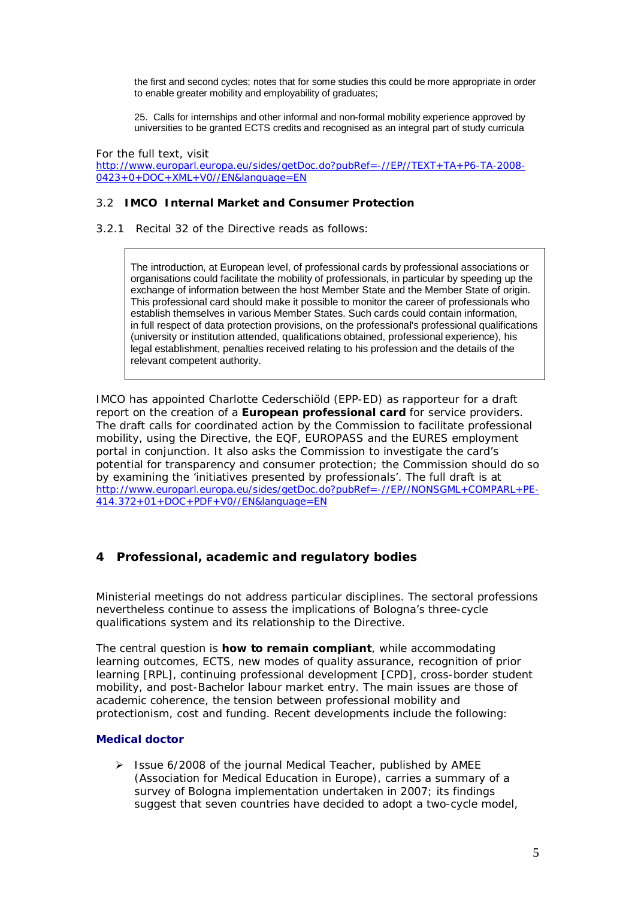the first and second cycles; notes that for some studies this could be more appropriate in order to enable greater mobility and employability of graduates;

25. Calls for internships and other informal and non-formal mobility experience approved by universities to be granted ECTS credits and recognised as an integral part of study curricula

For the full text, visit http://www.europarl.europa.eu/sides/getDoc.do?pubRef=-//EP//TEXT+TA+P6-TA-2008- 0423+0+DOC+XML+V0//EN&language=EN

#### 3.2 **IMCO Internal Market and Consumer Protection**

3.2.1 Recital 32 of the Directive reads as follows:

The introduction, at European level, of professional cards by professional associations or organisations could facilitate the mobility of professionals, in particular by speeding up the exchange of information between the host Member State and the Member State of origin. This professional card should make it possible to monitor the career of professionals who establish themselves in various Member States. Such cards could contain information, in full respect of data protection provisions, on the professional's professional qualifications (university or institution attended, qualifications obtained, professional experience), his legal establishment, penalties received relating to his profession and the details of the relevant competent authority.

IMCO has appointed Charlotte Cederschiöld (EPP-ED) as rapporteur for a draft report on the creation of a **European professional card** for service providers. The draft calls for coordinated action by the Commission to facilitate professional mobility, using the Directive, the EQF, EUROPASS and the EURES employment portal in conjunction. It also asks the Commission to investigate the card's potential for transparency and consumer protection; the Commission should do so by examining the 'initiatives presented by professionals'. The full draft is at http://www.europarl.europa.eu/sides/getDoc.do?pubRef=-//EP//NONSGML+COMPARL+PE-414.372+01+DOC+PDF+V0//EN&language=EN

### **4 Professional, academic and regulatory bodies**

Ministerial meetings do not address particular disciplines. The sectoral professions nevertheless continue to assess the implications of Bologna's three-cycle qualifications system and its relationship to the Directive.

The central question is **how to remain compliant**, while accommodating learning outcomes, ECTS, new modes of quality assurance, recognition of prior learning [RPL], continuing professional development [CPD], cross-border student mobility, and post-Bachelor labour market entry. The main issues are those of academic coherence, the tension between professional mobility and protectionism, cost and funding. Recent developments include the following:

#### **Medical doctor**

 Issue 6/2008 of the journal *Medical Teacher*, published by AMEE (Association for Medical Education in Europe), carries a summary of a survey of Bologna implementation undertaken in 2007; its findings suggest that seven countries have decided to adopt a two-cycle model,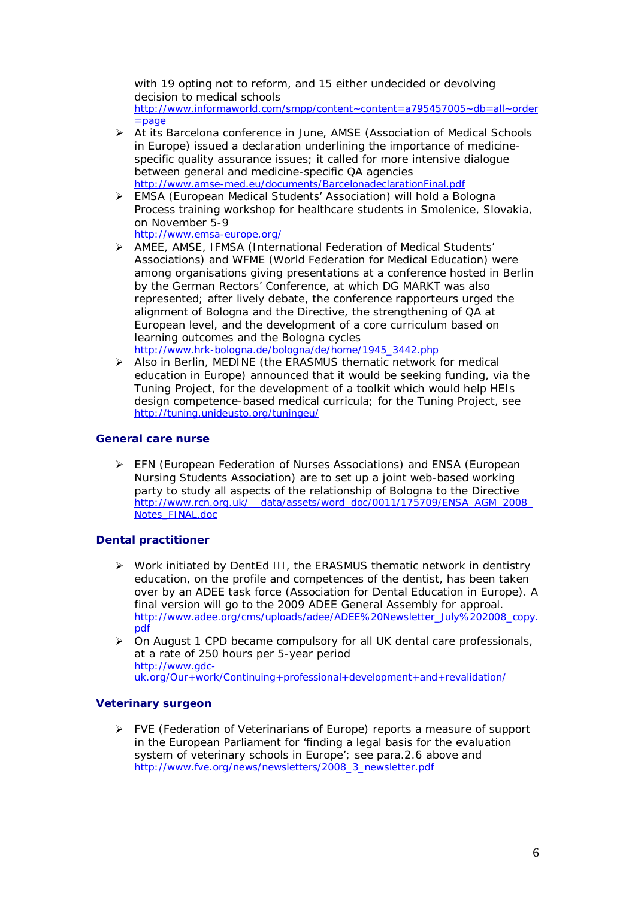with 19 opting not to reform, and 15 either undecided or devolving decision to medical schools http://www.informaworld.com/smpp/content~content=a795457005~db=all~order  $=$ page

- At its Barcelona conference in June, AMSE (Association of Medical Schools in Europe) issued a declaration underlining the importance of medicinespecific quality assurance issues; it called for more intensive dialogue between general and medicine-specific QA agencies http://www.amse-med.eu/documents/BarcelonadeclarationFinal.pdf
- EMSA (European Medical Students' Association) will hold a Bologna Process training workshop for healthcare students in Smolenice, Slovakia, on November 5-9

http://www.emsa-europe.org/

- AMEE, AMSE, IFMSA (International Federation of Medical Students' Associations) and WFME (World Federation for Medical Education) were among organisations giving presentations at a conference hosted in Berlin by the German Rectors' Conference, at which DG MARKT was also represented; after lively debate, the conference rapporteurs urged the alignment of Bologna and the Directive, the strengthening of QA at European level, and the development of a core curriculum based on learning outcomes and the Bologna cycles http://www.hrk-bologna.de/bologna/de/home/1945\_3442.php
- $\triangleright$  Also in Berlin, MEDINE (the ERASMUS thematic network for medical education in Europe) announced that it would be seeking funding, via the Tuning Project, for the development of a toolkit which would help HEIs design competence-based medical curricula; for the Tuning Project, see http://tuning.unideusto.org/tuningeu/

### **General care nurse**

 EFN (European Federation of Nurses Associations) and ENSA (European Nursing Students Association) are to set up a joint web-based working party to study all aspects of the relationship of Bologna to the Directive http://www.rcn.org.uk/\_\_data/assets/word\_doc/0011/175709/ENSA\_AGM\_2008\_ Notes\_FINAL.doc

### **Dental practitioner**

- $\triangleright$  Work initiated by DentEd III, the ERASMUS thematic network in dentistry education, on the profile and competences of the dentist, has been taken over by an ADEE task force (Association for Dental Education in Europe). A final version will go to the 2009 ADEE General Assembly for approal. http://www.adee.org/cms/uploads/adee/ADEE%20Newsletter\_July%202008\_copy. pdf
- $\triangleright$  On August 1 CPD became compulsory for all UK dental care professionals, at a rate of 250 hours per 5-year period http://www.gdcuk.org/Our+work/Continuing+professional+development+and+revalidation/

### **Veterinary surgeon**

 $\triangleright$  FVE (Federation of Veterinarians of Europe) reports a measure of support in the European Parliament for 'finding a legal basis for the evaluation system of veterinary schools in Europe'; see para.2.6 above and http://www.fve.org/news/newsletters/2008\_3\_newsletter.pdf